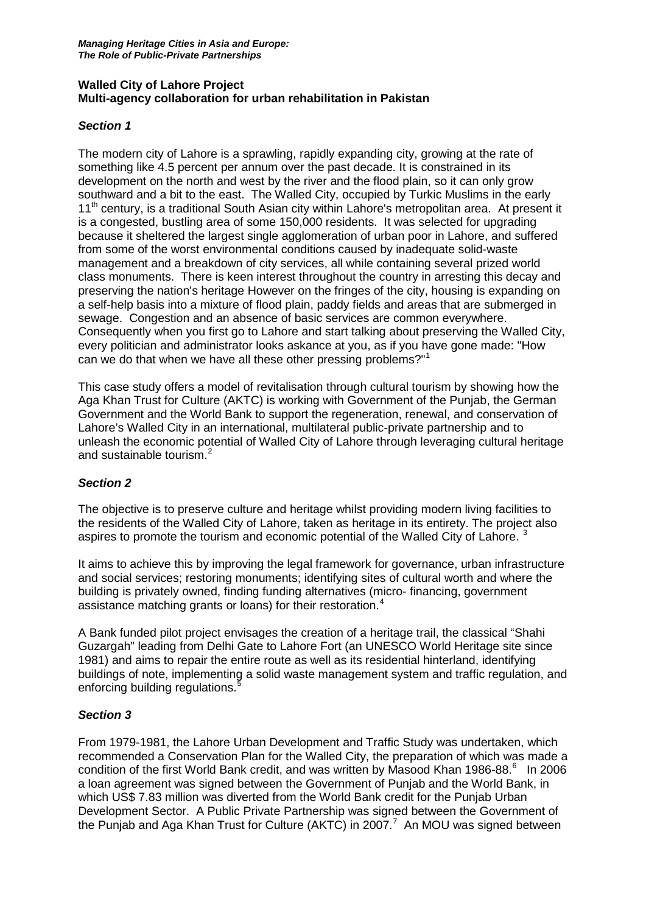### **Walled City of Lahore Project Multi-agency collaboration for urban rehabilitation in Pakistan**

### *Section 1*

The modern city of Lahore is a sprawling, rapidly expanding city, growing at the rate of something like 4.5 percent per annum over the past decade. It is constrained in its development on the north and west by the river and the flood plain, so it can only grow southward and a bit to the east. The Walled City, occupied by Turkic Muslims in the early 11<sup>th</sup> century, is a traditional South Asian city within Lahore's metropolitan area. At present it is a congested, bustling area of some 150,000 residents. It was selected for upgrading because it sheltered the largest single agglomeration of urban poor in Lahore, and suffered from some of the worst environmental conditions caused by inadequate solid-waste management and a breakdown of city services, all while containing several prized world class monuments. There is keen interest throughout the country in arresting this decay and preserving the nation's heritage However on the fringes of the city, housing is expanding on a self-help basis into a mixture of flood plain, paddy fields and areas that are submerged in sewage. Congestion and an absence of basic services are common everywhere. Consequently when you first go to Lahore and start talking about preserving the Walled City, every politician and administrator looks askance at you, as if you have gone made: "How can we do that when we have all these other pressing problems?"[1](#page-3-0)

This case study offers a model of revitalisation through cultural tourism by showing how the Aga Khan Trust for Culture (AKTC) is working with Government of the Punjab, the German Government and the World Bank to support the regeneration, renewal, and conservation of Lahore's Walled City in an international, multilateral public-private partnership and to unleash the economic potential of Walled City of Lahore through leveraging cultural heritage and sustainable tourism.<sup>[2](#page-3-1)</sup>

# *Section 2*

The objective is to preserve culture and heritage whilst providing modern living facilities to the residents of the Walled City of Lahore, taken as heritage in its entirety. The project also aspires to promote the tourism and economic potential of the Walled City of Lahore.<sup>[3](#page-3-2)</sup>

It aims to achieve this by improving the legal framework for governance, urban infrastructure and social services; restoring monuments; identifying sites of cultural worth and where the building is privately owned, finding funding alternatives (micro- financing, government assistance matching grants or loans) for their restoration.<sup>[4](#page-3-3)</sup>

A Bank funded pilot project envisages the creation of a heritage trail, the classical "Shahi Guzargah" leading from Delhi Gate to Lahore Fort (an UNESCO World Heritage site since 1981) and aims to repair the entire route as well as its residential hinterland, identifying buildings of note, implementing a solid waste management system and traffic regulation, and enforcing building regulations.<sup>[5](#page-3-4)</sup>

#### *Section 3*

From 1979-1981, the Lahore Urban Development and Traffic Study was undertaken, which recommended a Conservation Plan for the Walled City, the preparation of which was made a condition of the first World Bank credit, and was written by Masood Khan 1986-88. [6](#page-3-5) In 2006 a loan agreement was signed between the Government of Punjab and the World Bank, in which US\$ 7.83 million was diverted from the World Bank credit for the Punjab Urban Development Sector. A Public Private Partnership was signed between the Government of the Punjab and Aga Khan Trust for Culture (AKTC) in 200[7](#page-3-6).<sup>7</sup> An MOU was signed between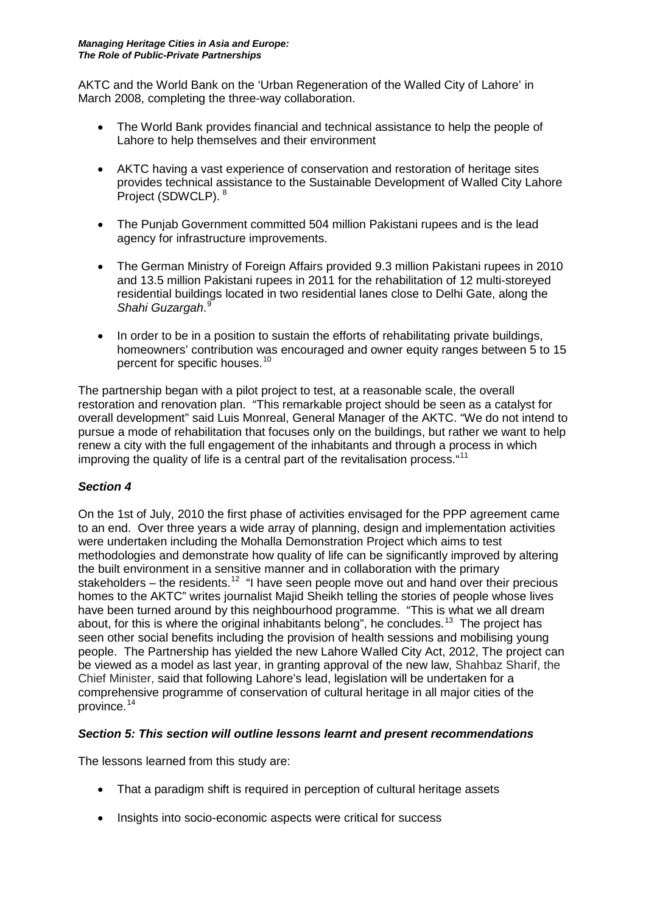AKTC and the World Bank on the 'Urban Regeneration of the Walled City of Lahore' in March 2008, completing the three-way collaboration.

- The World Bank provides financial and technical assistance to help the people of Lahore to help themselves and their environment
- AKTC having a vast experience of conservation and restoration of heritage sites provides technical assistance to the Sustainable Development of Walled City Lahore Project (SDWCLP). [8](#page-3-7)
- The Punjab Government committed 504 million Pakistani rupees and is the lead agency for infrastructure improvements.
- The German Ministry of Foreign Affairs provided 9.3 million Pakistani rupees in 2010 and 13.5 million Pakistani rupees in 2011 for the rehabilitation of 12 multi-storeyed residential buildings located in two residential lanes close to Delhi Gate, along the *Shahi Guzargah*. [9](#page-3-8)
- In order to be in a position to sustain the efforts of rehabilitating private buildings, homeowners' contribution was encouraged and owner equity ranges between 5 to 15 percent for specific houses.<sup>[10](#page-3-9)</sup>

The partnership began with a pilot project to test, at a reasonable scale, the overall restoration and renovation plan. "This remarkable project should be seen as a catalyst for overall development" said Luis Monreal, General Manager of the AKTC. "We do not intend to pursue a mode of rehabilitation that focuses only on the buildings, but rather we want to help renew a city with the full engagement of the inhabitants and through a process in which improving the quality of life is a central part of the revitalisation process. "11

## *Section 4*

On the 1st of July, 2010 the first phase of activities envisaged for the PPP agreement came to an end. Over three years a wide array of planning, design and implementation activities were undertaken including the Mohalla Demonstration Project which aims to test methodologies and demonstrate how quality of life can be significantly improved by altering the built environment in a sensitive manner and in collaboration with the primary stakeholders – the residents.<sup>12</sup> "I have seen people move out and hand over their precious homes to the AKTC" writes journalist Majid Sheikh telling the stories of people whose lives have been turned around by this neighbourhood programme. "This is what we all dream about, for this is where the original inhabitants belong", he concludes.<sup>13</sup> The project has seen other social benefits including the provision of health sessions and mobilising young people. The Partnership has yielded the new Lahore Walled City Act, 2012, The project can be viewed as a model as last year, in granting approval of the new law, Shahbaz Sharif, the Chief Minister, said that following Lahore's lead, legislation will be undertaken for a comprehensive programme of conservation of cultural heritage in all major cities of the province. [14](#page-3-13)

#### *Section 5: This section will outline lessons learnt and present recommendations*

The lessons learned from this study are:

- That a paradigm shift is required in perception of cultural heritage assets
- Insights into socio-economic aspects were critical for success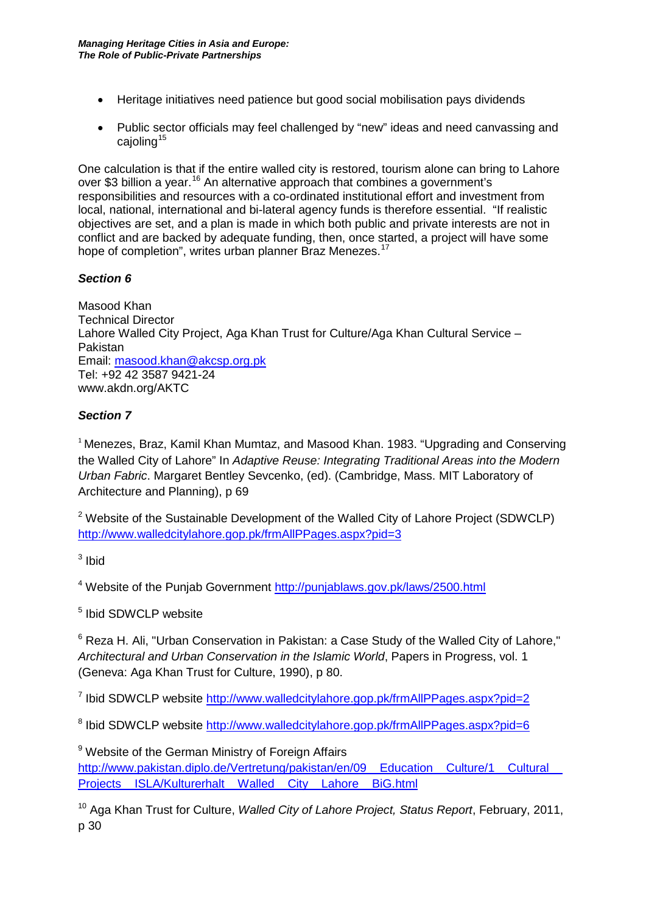- Heritage initiatives need patience but good social mobilisation pays dividends
- Public sector officials may feel challenged by "new" ideas and need canvassing and caioling $15$

One calculation is that if the entire walled city is restored, tourism alone can bring to Lahore over \$3 billion a year.<sup>[16](#page-3-15)</sup> An alternative approach that combines a government's responsibilities and resources with a co-ordinated institutional effort and investment from local, national, international and bi-lateral agency funds is therefore essential. "If realistic objectives are set, and a plan is made in which both public and private interests are not in conflict and are backed by adequate funding, then, once started, a project will have some hope of completion", writes urban planner Braz Menezes.<sup>1</sup>

# *Section 6*

Masood Khan Technical Director Lahore Walled City Project, Aga Khan Trust for Culture/Aga Khan Cultural Service – Pakistan Email: [masood.khan@akcsp.org.pk](mailto:masood.khan@akcsp.org.pk) Tel: +92 42 3587 9421-24 www.akdn.org/AKTC

# *Section 7*

<sup>1</sup> Menezes, Braz, Kamil Khan Mumtaz, and Masood Khan. 1983. "Upgrading and Conserving the Walled City of Lahore" In *Adaptive Reuse: Integrating Traditional Areas into the Modern Urban Fabric*. Margaret Bentley Sevcenko, (ed). (Cambridge, Mass. MIT Laboratory of Architecture and Planning), p 69

 $2$  Website of the Sustainable Development of the Walled City of Lahore Project (SDWCLP) <http://www.walledcitylahore.gop.pk/frmAllPPages.aspx?pid=3>

 $3$  Ibid

<sup>4</sup> Website of the Punjab Government<http://punjablaws.gov.pk/laws/2500.html>

<sup>5</sup> Ibid SDWCLP website

<sup>6</sup> Reza H. Ali, "Urban Conservation in Pakistan: a Case Study of the Walled City of Lahore," *Architectural and Urban Conservation in the Islamic World*, Papers in Progress, vol. 1 (Geneva: Aga Khan Trust for Culture, 1990), p 80.

<sup>7</sup> Ibid SDWCLP website<http://www.walledcitylahore.gop.pk/frmAllPPages.aspx?pid=2>

<sup>8</sup> Ibid SDWCLP website<http://www.walledcitylahore.gop.pk/frmAllPPages.aspx?pid=6>

<sup>9</sup> Website of the German Ministry of Foreign Affairs http://www.pakistan.diplo.de/Vertretung/pakistan/en/09 Education Culture/1 Cultural Projects ISLA/Kulturerhalt Walled City Lahore BiG.html

<sup>10</sup> Aga Khan Trust for Culture, *Walled City of Lahore Project, Status Report*, February, 2011, p 30